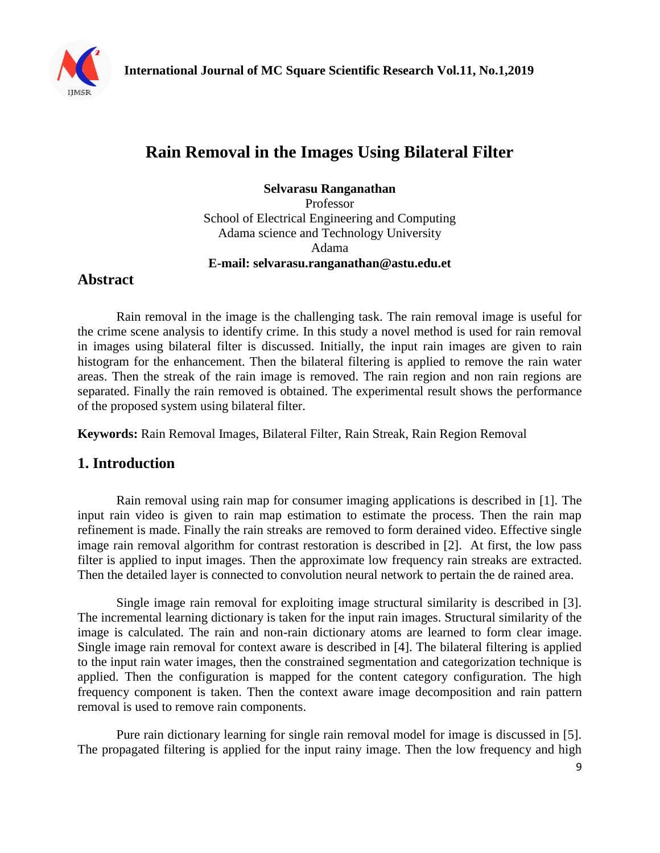

# **Rain Removal in the Images Using Bilateral Filter**

**Selvarasu Ranganathan**

Professor School of Electrical Engineering and Computing Adama science and Technology University Adama **E-mail: selvarasu.ranganathan@astu.edu.et**

### **Abstract**

Rain removal in the image is the challenging task. The rain removal image is useful for the crime scene analysis to identify crime. In this study a novel method is used for rain removal in images using bilateral filter is discussed. Initially, the input rain images are given to rain histogram for the enhancement. Then the bilateral filtering is applied to remove the rain water areas. Then the streak of the rain image is removed. The rain region and non rain regions are separated. Finally the rain removed is obtained. The experimental result shows the performance of the proposed system using bilateral filter.

**Keywords:** Rain Removal Images, Bilateral Filter, Rain Streak, Rain Region Removal

### **1. Introduction**

Rain removal using rain map for consumer imaging applications is described in [1]. The input rain video is given to rain map estimation to estimate the process. Then the rain map refinement is made. Finally the rain streaks are removed to form derained video. Effective single image rain removal algorithm for contrast restoration is described in [2]. At first, the low pass filter is applied to input images. Then the approximate low frequency rain streaks are extracted. Then the detailed layer is connected to convolution neural network to pertain the de rained area.

Single image rain removal for exploiting image structural similarity is described in [3]. The incremental learning dictionary is taken for the input rain images. Structural similarity of the image is calculated. The rain and non-rain dictionary atoms are learned to form clear image. Single image rain removal for context aware is described in [4]. The bilateral filtering is applied to the input rain water images, then the constrained segmentation and categorization technique is applied. Then the configuration is mapped for the content category configuration. The high frequency component is taken. Then the context aware image decomposition and rain pattern removal is used to remove rain components.

Pure rain dictionary learning for single rain removal model for image is discussed in [5]. The propagated filtering is applied for the input rainy image. Then the low frequency and high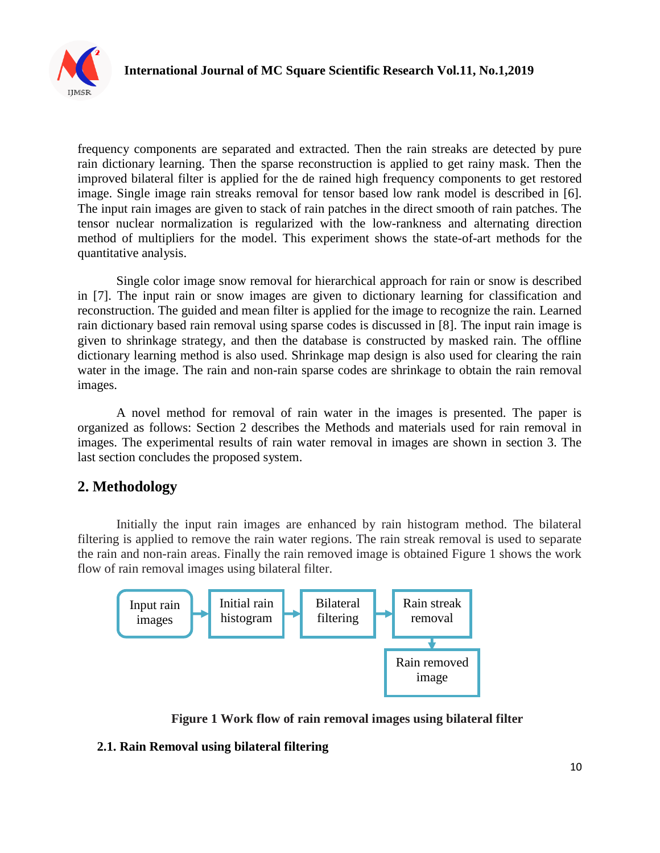

frequency components are separated and extracted. Then the rain streaks are detected by pure rain dictionary learning. Then the sparse reconstruction is applied to get rainy mask. Then the improved bilateral filter is applied for the de rained high frequency components to get restored image. Single image rain streaks removal for tensor based low rank model is described in [6]. The input rain images are given to stack of rain patches in the direct smooth of rain patches. The tensor nuclear normalization is regularized with the low-rankness and alternating direction method of multipliers for the model. This experiment shows the state-of-art methods for the quantitative analysis.

Single color image snow removal for hierarchical approach for rain or snow is described in [7]. The input rain or snow images are given to dictionary learning for classification and reconstruction. The guided and mean filter is applied for the image to recognize the rain. Learned rain dictionary based rain removal using sparse codes is discussed in [8]. The input rain image is given to shrinkage strategy, and then the database is constructed by masked rain. The offline dictionary learning method is also used. Shrinkage map design is also used for clearing the rain water in the image. The rain and non-rain sparse codes are shrinkage to obtain the rain removal images.

A novel method for removal of rain water in the images is presented. The paper is organized as follows: Section 2 describes the Methods and materials used for rain removal in images. The experimental results of rain water removal in images are shown in section 3. The last section concludes the proposed system.

## **2. Methodology**

Initially the input rain images are enhanced by rain histogram method. The bilateral filtering is applied to remove the rain water regions. The rain streak removal is used to separate the rain and non-rain areas. Finally the rain removed image is obtained Figure 1 shows the work flow of rain removal images using bilateral filter.



 **Figure 1 Work flow of rain removal images using bilateral filter**

### **2.1. Rain Removal using bilateral filtering**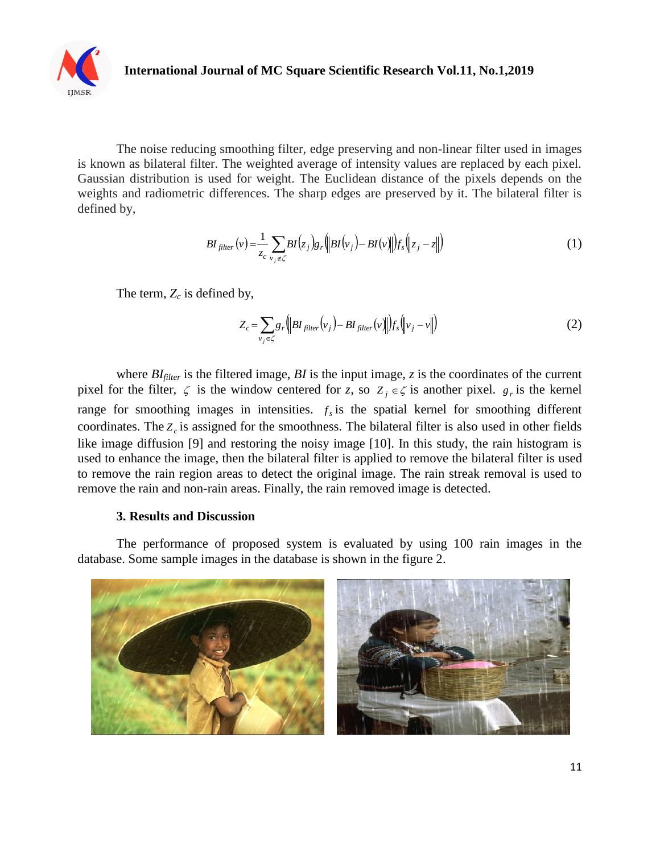

The noise reducing smoothing filter, edge preserving and non-linear filter used in images is known as bilateral filter. The weighted average of intensity values are replaced by each pixel. Gaussian distribution is used for weight. The Euclidean distance of the pixels depends on the weights and radiometric differences. The sharp edges are preserved by it. The bilateral filter is defined by,

$$
BI_{filter}(v) = \frac{1}{z_c} \sum_{v_j \notin \zeta} BI(z_j) g_r \left( \left\| BI(v_j) - BI(v) \right\| \right) f_s \left( \left\| z_j - z \right\| \right) \tag{1}
$$

The term, *Z<sup>c</sup>* is defined by,

$$
Z_c = \sum_{v_j \in \zeta} g_r \left( \left\| B I_{filter}(v_j) - B I_{filter}(v) \right\| \right) f_s \left( \left\| v_j - v \right\| \right) \tag{2}
$$

where *BIfilter* is the filtered image, *BI* is the input image, *z* is the coordinates of the current pixel for the filter,  $\zeta$  is the window centered for *z*, so  $Z_j \in \zeta$  is another pixel.  $g_r$  is the kernel range for smoothing images in intensities.  $f_s$  is the spatial kernel for smoothing different coordinates. The *Zc* is assigned for the smoothness. The bilateral filter is also used in other fields like image diffusion [9] and restoring the noisy image [10]. In this study, the rain histogram is used to enhance the image, then the bilateral filter is applied to remove the bilateral filter is used to remove the rain region areas to detect the original image. The rain streak removal is used to remove the rain and non-rain areas. Finally, the rain removed image is detected.

#### **3. Results and Discussion**

The performance of proposed system is evaluated by using 100 rain images in the database. Some sample images in the database is shown in the figure 2.

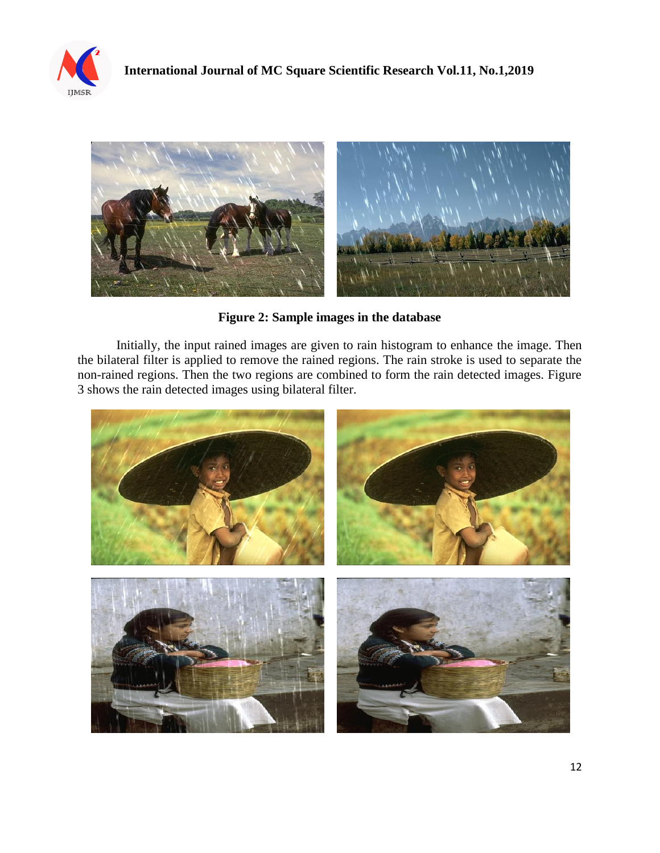



**Figure 2: Sample images in the database**

Initially, the input rained images are given to rain histogram to enhance the image. Then the bilateral filter is applied to remove the rained regions. The rain stroke is used to separate the non-rained regions. Then the two regions are combined to form the rain detected images. Figure 3 shows the rain detected images using bilateral filter.

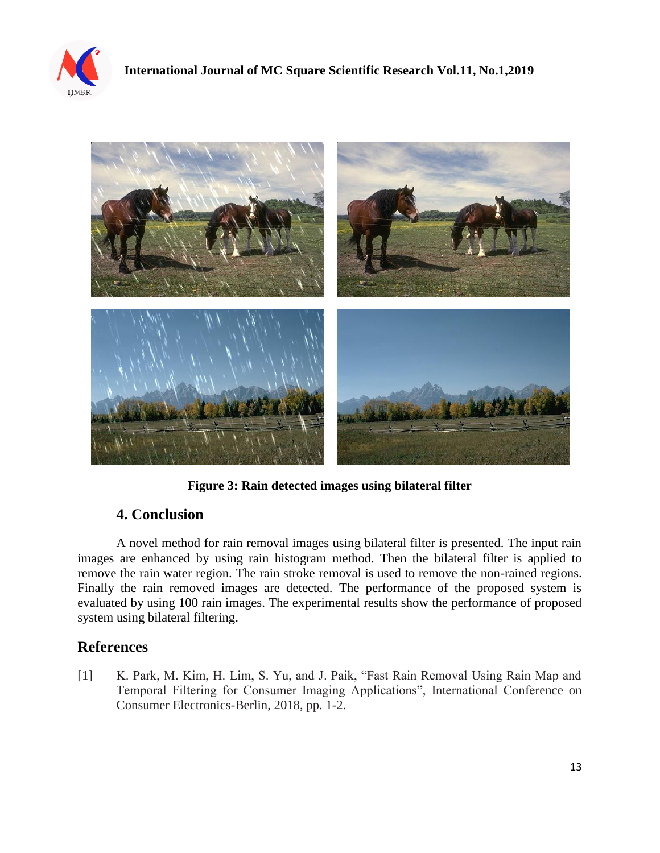



**Figure 3: Rain detected images using bilateral filter**

## **4. Conclusion**

A novel method for rain removal images using bilateral filter is presented. The input rain images are enhanced by using rain histogram method. Then the bilateral filter is applied to remove the rain water region. The rain stroke removal is used to remove the non-rained regions. Finally the rain removed images are detected. The performance of the proposed system is evaluated by using 100 rain images. The experimental results show the performance of proposed system using bilateral filtering.

## **References**

[1] K. Park, M. Kim, H. Lim, S. Yu, and J. Paik, "Fast Rain Removal Using Rain Map and Temporal Filtering for Consumer Imaging Applications", International Conference on Consumer Electronics-Berlin, 2018, pp. 1-2.